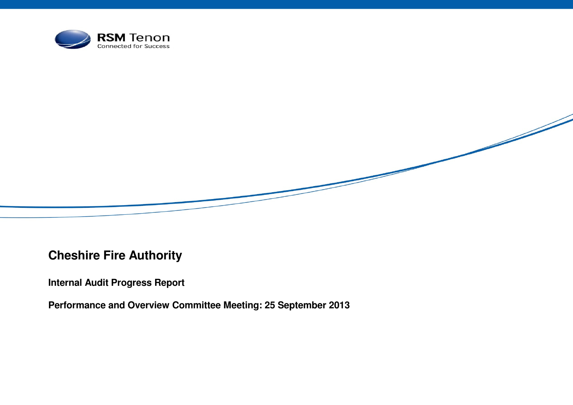

**Cheshire Fire Authority** 

**Internal Audit Progress Report** 

**Performance and Overview Committee Meeting: 25 September 2013**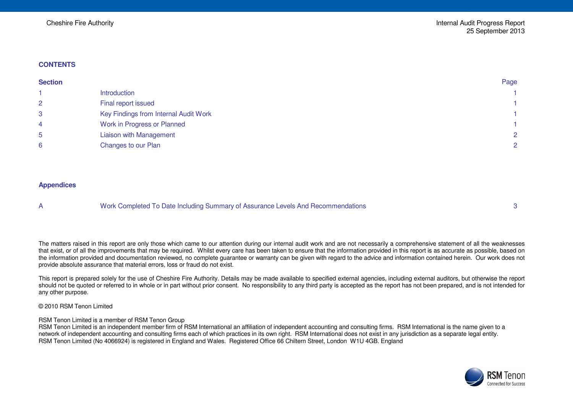#### **CONTENTS**

| <b>Section</b> |                                       | Page |
|----------------|---------------------------------------|------|
|                | Introduction                          |      |
| $\overline{2}$ | Final report issued                   |      |
| 3              | Key Findings from Internal Audit Work |      |
| 4              | Work in Progress or Planned           |      |
| 5              | <b>Liaison with Management</b>        | 2    |
| 6              | Changes to our Plan                   | 2    |

#### **Appendices**

A Work Completed To Date Including Summary of Assurance Levels And Recommendations 3

The matters raised in this report are only those which came to our attention during our internal audit work and are not necessarily a comprehensive statement of all the weaknesses that exist, or of all the improvements that may be required. Whilst every care has been taken to ensure that the information provided in this report is as accurate as possible, based on the information provided and documentation reviewed, no complete guarantee or warranty can be given with regard to the advice and information contained herein. Our work does not provide absolute assurance that material errors, loss or fraud do not exist.

This report is prepared solely for the use of Cheshire Fire Authority. Details may be made available to specified external agencies, including external auditors, but otherwise the report should not be quoted or referred to in whole or in part without prior consent. No responsibility to any third party is accepted as the report has not been prepared, and is not intended for any other purpose.

© 2010 RSM Tenon Limited

RSM Tenon Limited is a member of RSM Tenon Group

RSM Tenon Limited is an independent member firm of RSM International an affiliation of independent accounting and consulting firms. RSM International is the name given to a network of independent accounting and consulting firms each of which practices in its own right. RSM International does not exist in any jurisdiction as a separate legal entity. RSM Tenon Limited (No 4066924) is registered in England and Wales. Registered Office 66 Chiltern Street, London W1U 4GB. England

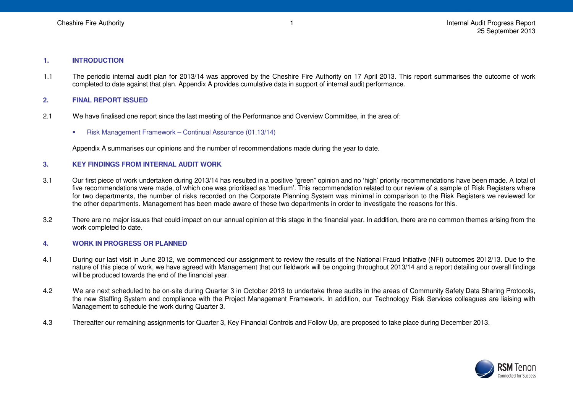1

#### **1. INTRODUCTION**

1.1 The periodic internal audit plan for 2013/14 was approved by the Cheshire Fire Authority on 17 April 2013. This report summarises the outcome of work completed to date against that plan. Appendix A provides cumulative data in support of internal audit performance.

### **2. FINAL REPORT ISSUED**

- 2.1 We have finalised one report since the last meeting of the Performance and Overview Committee, in the area of:
	- Risk Management Framework Continual Assurance (01.13/14)

Appendix A summarises our opinions and the number of recommendations made during the year to date.

#### **3. KEY FINDINGS FROM INTERNAL AUDIT WORK**

- 3.1 Our first piece of work undertaken during 2013/14 has resulted in a positive "green" opinion and no 'high' priority recommendations have been made. A total of five recommendations were made, of which one was prioritised as 'medium'. This recommendation related to our review of a sample of Risk Registers where for two departments, the number of risks recorded on the Corporate Planning System was minimal in comparison to the Risk Registers we reviewed for the other departments. Management has been made aware of these two departments in order to investigate the reasons for this.
- 3.2 There are no major issues that could impact on our annual opinion at this stage in the financial year. In addition, there are no common themes arising from the work completed to date.

## **4. WORK IN PROGRESS OR PLANNED**

- 4.1 During our last visit in June 2012, we commenced our assignment to review the results of the National Fraud Initiative (NFI) outcomes 2012/13. Due to the nature of this piece of work, we have agreed with Management that our fieldwork will be ongoing throughout 2013/14 and a report detailing our overall findings will be produced towards the end of the financial year.
- 4.2 We are next scheduled to be on-site during Quarter 3 in October 2013 to undertake three audits in the areas of Community Safety Data Sharing Protocols, the new Staffing System and compliance with the Project Management Framework. In addition, our Technology Risk Services colleagues are liaising with Management to schedule the work during Quarter 3.
- 4.3 Thereafter our remaining assignments for Quarter 3, Key Financial Controls and Follow Up, are proposed to take place during December 2013.

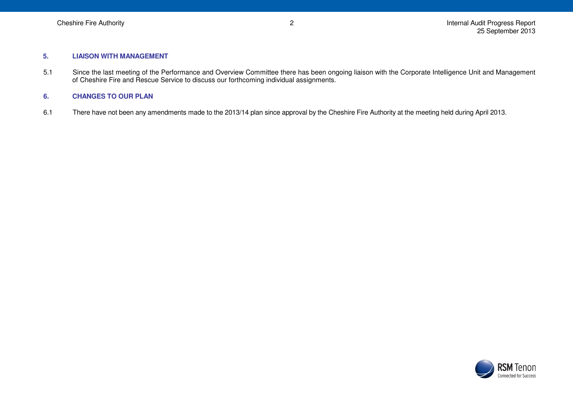#### **5. LIAISON WITH MANAGEMENT**

5.1 Since the last meeting of the Performance and Overview Committee there has been ongoing liaison with the Corporate Intelligence Unit and Management of Cheshire Fire and Rescue Service to discuss our forthcoming individual assignments.

## **6. CHANGES TO OUR PLAN**

6.1 There have not been any amendments made to the 2013/14 plan since approval by the Cheshire Fire Authority at the meeting held during April 2013.